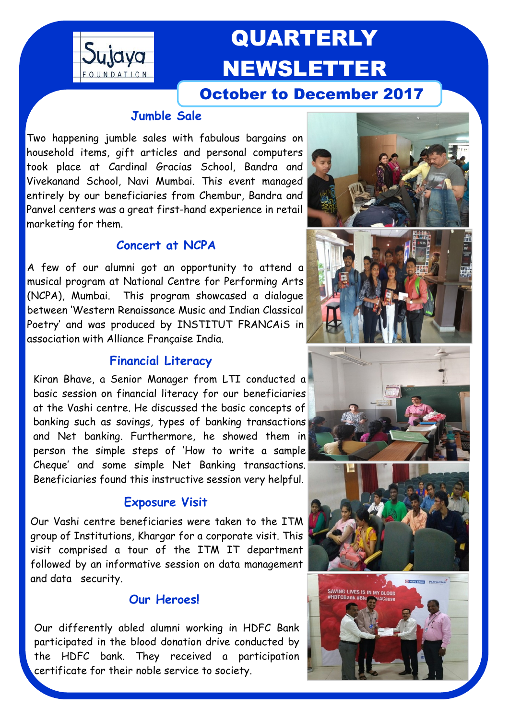

# **QUARTERLY** NEWSLETTER

## October to December 2017

#### **Jumble Sale**

Two happening jumble sales with fabulous bargains on household items, gift articles and personal computers took place at Cardinal Gracias School, Bandra and Vivekanand School, Navi Mumbai. This event managed entirely by our beneficiaries from Chembur, Bandra and Panvel centers was a great first-hand experience in retail marketing for them.

### **Concert at NCPA**

A few of our alumni got an opportunity to attend a musical program at National Centre for Performing Arts (NCPA), Mumbai. This program showcased a dialogue between "Western Renaissance Music and Indian Classical Poetry" and was produced by INSTITUT FRANCAiS in association with Alliance Française India.

## **Financial Literacy**

Kiran Bhave, a Senior Manager from LTI conducted a basic session on financial literacy for our beneficiaries at the Vashi centre. He discussed the basic concepts of banking such as savings, types of banking transactions and Net banking. Furthermore, he showed them in person the simple steps of "How to write a sample Cheque" and some simple Net Banking transactions. Beneficiaries found this instructive session very helpful.

## **Exposure Visit**

Our Vashi centre beneficiaries were taken to the ITM group of Institutions, Khargar for a corporate visit. This visit comprised a tour of the ITM IT department followed by an informative session on data management and data security.

## **Our Heroes!**

Our differently abled alumni working in HDFC Bank participated in the blood donation drive conducted by the HDFC bank. They received a participation certificate for their noble service to society.









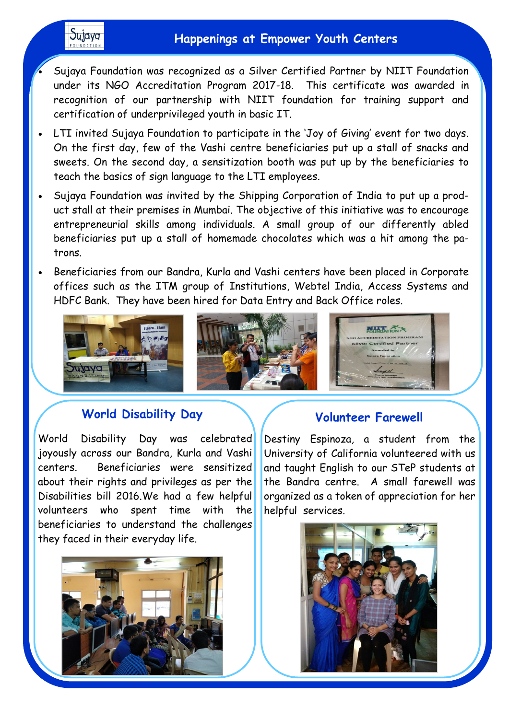### **Happenings at Empower Youth Centers**



 Sujaya Foundation was recognized as a Silver Certified Partner by NIIT Foundation under its NGO Accreditation Program 2017-18. This certificate was awarded in recognition of our partnership with NIIT foundation for training support and certification of underprivileged youth in basic IT.

- LTI invited Sujaya Foundation to participate in the "Joy of Giving" event for two days. On the first day, few of the Vashi centre beneficiaries put up a stall of snacks and sweets. On the second day, a sensitization booth was put up by the beneficiaries to teach the basics of sign language to the LTI employees.
- Sujaya Foundation was invited by the Shipping Corporation of India to put up a product stall at their premises in Mumbai. The objective of this initiative was to encourage entrepreneurial skills among individuals. A small group of our differently abled beneficiaries put up a stall of homemade chocolates which was a hit among the patrons.
- Beneficiaries from our Bandra, Kurla and Vashi centers have been placed in Corporate offices such as the ITM group of Institutions, Webtel India, Access Systems and HDFC Bank. They have been hired for Data Entry and Back Office roles.







#### **World Disability Day**

World Disability Day was celebrated joyously across our Bandra, Kurla and Vashi centers. Beneficiaries were sensitized about their rights and privileges as per the Disabilities bill 2016.We had a few helpful volunteers who spent time with the beneficiaries to understand the challenges they faced in their everyday life.



#### **Volunteer Farewell**

Destiny Espinoza, a student from the University of California volunteered with us and taught English to our STeP students at the Bandra centre. A small farewell was organized as a token of appreciation for her helpful services.